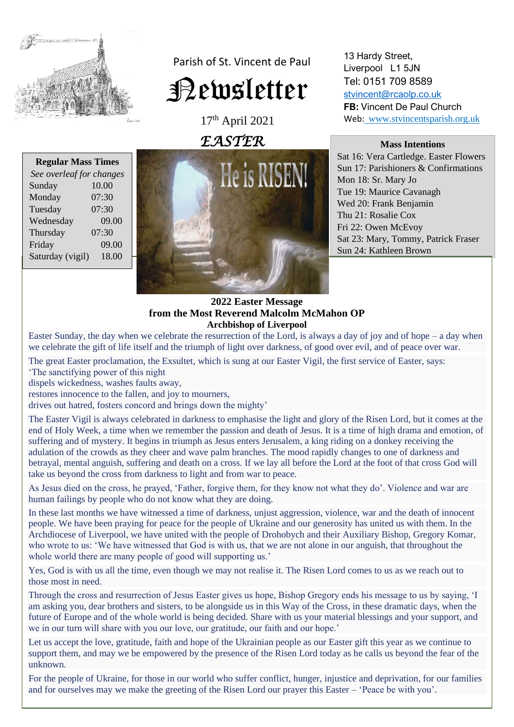

Parish of St. Vincent de Paul Newsletter

> 17th April 2021 *EASTER*

13 Hardy Street, Liverpool L1 5JN Tel: 0151 709 8589 [stvincent@rcaolp.co.uk](mailto:stvincent@rcaolp.co.uk) **FB:** Vincent De Paul Church Web: www.stvincentsparish.org.uk

#### **Mass Intentions**

Sat 16: Vera Cartledge. Easter Flowers Sun 17: Parishioners & Confirmations Mon 18: Sr. Mary Jo Tue 19: Maurice Cavanagh Wed 20: Frank Benjamin Thu 21: Rosalie Cox Fri 22: Owen McEvoy Sat 23: Mary, Tommy, Patrick Fraser Sun 24: Kathleen Brown

| <b>Regular Mass Times</b> |       |
|---------------------------|-------|
| See overleaf for changes  |       |
| Sunday                    | 10.00 |
| Monday                    | 07:30 |
| Tuesday                   | 07:30 |
| Wednesday                 | 09.00 |
| Thursday                  | 07:30 |
| Friday                    | 09.00 |
| Saturday (vigil)          | 18.00 |
|                           |       |



# **2022 Easter Message from the Most Reverend Malcolm McMahon OP Archbishop of Liverpool**

Easter Sunday, the day when we celebrate the resurrection of the Lord, is always a day of joy and of hope – a day when we celebrate the gift of life itself and the triumph of light over darkness, of good over evil, and of peace over war.

The great Easter proclamation, the Exsultet, which is sung at our Easter Vigil, the first service of Easter, says: 'The sanctifying power of this night

dispels wickedness, washes faults away,

restores innocence to the fallen, and joy to mourners,

drives out hatred, fosters concord and brings down the mighty'

The Easter Vigil is always celebrated in darkness to emphasise the light and glory of the Risen Lord, but it comes at the end of Holy Week, a time when we remember the passion and death of Jesus. It is a time of high drama and emotion, of suffering and of mystery. It begins in triumph as Jesus enters Jerusalem, a king riding on a donkey receiving the adulation of the crowds as they cheer and wave palm branches. The mood rapidly changes to one of darkness and betrayal, mental anguish, suffering and death on a cross. If we lay all before the Lord at the foot of that cross God will take us beyond the cross from darkness to light and from war to peace.

As Jesus died on the cross, he prayed, 'Father, forgive them, for they know not what they do'. Violence and war are human failings by people who do not know what they are doing.

In these last months we have witnessed a time of darkness, unjust aggression, violence, war and the death of innocent people. We have been praying for peace for the people of Ukraine and our generosity has united us with them. In the Archdiocese of Liverpool, we have united with the people of Drohobych and their Auxiliary Bishop, Gregory Komar, who wrote to us: 'We have witnessed that God is with us, that we are not alone in our anguish, that throughout the whole world there are many people of good will supporting us.'

Yes, God is with us all the time, even though we may not realise it. The Risen Lord comes to us as we reach out to those most in need.

Through the cross and resurrection of Jesus Easter gives us hope, Bishop Gregory ends his message to us by saying, 'I am asking you, dear brothers and sisters, to be alongside us in this Way of the Cross, in these dramatic days, when the future of Europe and of the whole world is being decided. Share with us your material blessings and your support, and we in our turn will share with you our love, our gratitude, our faith and our hope.'

Let us accept the love, gratitude, faith and hope of the Ukrainian people as our Easter gift this year as we continue to support them, and may we be empowered by the presence of the Risen Lord today as he calls us beyond the fear of the unknown.

For the people of Ukraine, for those in our world who suffer conflict, hunger, injustice and deprivation, for our families and for ourselves may we make the greeting of the Risen Lord our prayer this Easter – 'Peace be with you'.